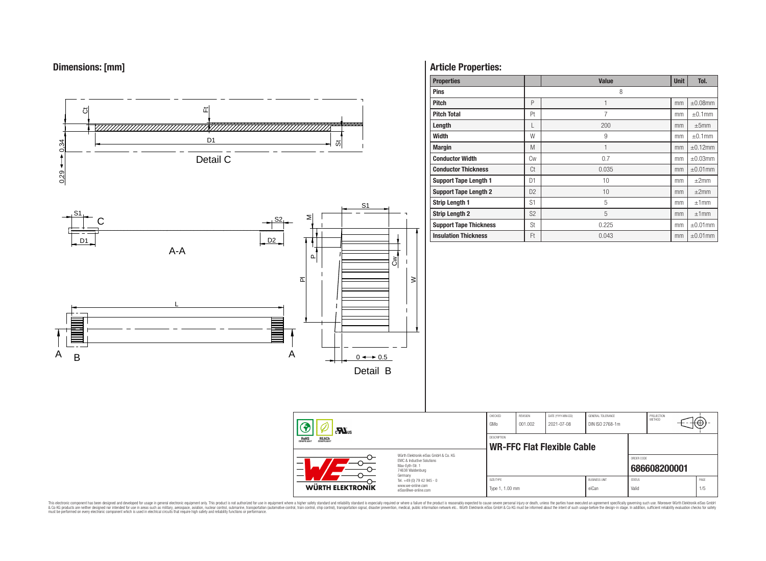# **Dimensions: [mm]**



# **Article Properties:**

| <b>Properties</b>             |                | <b>Value</b> | <b>Unit</b> | Tol.          |
|-------------------------------|----------------|--------------|-------------|---------------|
| <b>Pins</b>                   |                | 8            |             |               |
| <b>Pitch</b>                  | P              | 1            | mm          | $\pm 0.08$ mm |
| <b>Pitch Total</b>            | Pt             | 7            | mm          | $\pm 0.1$ mm  |
| Length                        | L              | 200          | mm          | ±5mm          |
| <b>Width</b>                  | W              | 9            | mm          | $\pm 0.1$ mm  |
| <b>Margin</b>                 | M              | $\mathbf{1}$ | mm          | $\pm 0.12$ mm |
| <b>Conductor Width</b>        | Cw             | 0.7          | mm          | $\pm 0.03$ mm |
| <b>Conductor Thickness</b>    | Ct             | 0.035        | mm          | $\pm 0.01$ mm |
| <b>Support Tape Length 1</b>  | D <sub>1</sub> | 10           | mm          | $\pm 2$ mm    |
| <b>Support Tape Length 2</b>  | D <sub>2</sub> | 10           | mm          | $\pm 2$ mm    |
| <b>Strip Length 1</b>         | S <sub>1</sub> | 5            | mm          | ±1mm          |
| <b>Strip Length 2</b>         | S <sub>2</sub> | 5            | mm          | ±1mm          |
| <b>Support Tape Thickness</b> | St             | 0.225        | mm          | $\pm 0.01$ mm |
| <b>Insulation Thickness</b>   | Ft             | 0.043        | mm          | $\pm 0.01$ mm |

PROJECTION<br>METHOD

(⊕

**[686608200001](https://www.we-online.com/catalog/en/article/686608200001)**

ORDER CODE

This electronic component has been designed and developed for usage in general electronic equipment only. This product is not authorized for subserved requipment where a higher selection equipment where a higher selection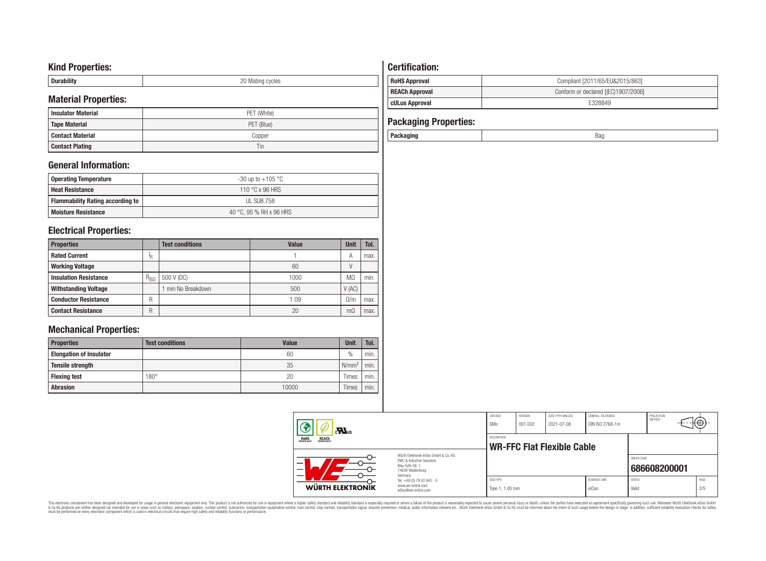## **Kind Properties:**

| <b>Duruping</b> | ററ<br>20 Mating cycles |
|-----------------|------------------------|

# **Material Properties:**

| IVIALEITAI PTODEITIES. |             | <b>cULus Approval</b>        | E328849 |
|------------------------|-------------|------------------------------|---------|
| l Insulator Material   | PET (White) |                              |         |
| Tape Material          | PET (Blue)  | <b>Packaging Properties:</b> |         |
| l Contact Material     | Copper      | Packaging                    | Bag     |
| <b>Contact Plating</b> | 1 in        |                              |         |

# **General Information:**

| Operating Temperature                   | -30 up to +105 $^{\circ}$ C |
|-----------------------------------------|-----------------------------|
| <b>Heat Resistance</b>                  | 110 °C x 96 HRS             |
| <b>Flammability Rating according to</b> | UL SUB.758                  |
| <b>Moisture Resistance</b>              | 40 °C. 95 % RH x 96 HRS     |

# **Electrical Properties:**

| <b>Properties</b>            |           | <b>Test conditions</b> | <b>Value</b> | Unit      | Tol. |
|------------------------------|-----------|------------------------|--------------|-----------|------|
| <b>Rated Current</b>         | ΙR        |                        |              | A         | max. |
| <b>Working Voltage</b>       |           |                        | 60           |           |      |
| <b>Insulation Resistance</b> | $R_{ISO}$ | 500 V (DC)             | 1000         | MΩ        | min. |
| <b>Withstanding Voltage</b>  |           | min No Breakdown       | 500          | V(AC)     |      |
| <b>Conductor Resistance</b>  | R         |                        | 1.09         | 0/m       | max. |
| <b>Contact Resistance</b>    | R         |                        | 20           | $m\Omega$ | max. |

# **Mechanical Properties:**

| <b>Properties</b>              | <b>Test conditions</b> | Value | <b>Unit</b>       | Tol. |
|--------------------------------|------------------------|-------|-------------------|------|
| <b>Elongation of Insulator</b> |                        | 60    | $\frac{0}{0}$     | min. |
| <b>Tensile strength</b>        |                        | 35    | N/mm <sup>2</sup> | min. |
| <b>Flexing test</b>            | $180^\circ$            | 20    | Times             | min. |
| <b>Abrasion</b>                |                        | 10000 | Times             | min. |

# **Certification: RoHS Approval RoHS Approval Compliant** [2011/65/EU&2015/863] **REACh Approval REACh Approval Conform or declared [(EC)1907/2006]**

| <b>Packaging Properties:</b> |     |
|------------------------------|-----|
| Packaging                    | Bad |

| $\sum_{s}$                                     |                                                                                                                     | CHECKED<br>GMo               | REVISION<br>001.002 | DATE (YYYY-MM-DD)<br>2021-07-08 | GENERAL TOLERANCE<br>DIN ISO 2768-1m |                        | PROJECTION<br><b>METHOD</b> | πΨ          |  |
|------------------------------------------------|---------------------------------------------------------------------------------------------------------------------|------------------------------|---------------------|---------------------------------|--------------------------------------|------------------------|-----------------------------|-------------|--|
| <b>REACH</b><br>COMPLIANT<br>ROHS<br>COMPLIANT |                                                                                                                     | DESCRIPTION                  |                     | WR-FFC Flat Flexible Cable      |                                      |                        |                             |             |  |
|                                                | Würth Elektronik eiSos GmbH & Co. KG<br>FMC & Inductive Solutions<br>Max-Eyth-Str. 1<br>74638 Waldenburg<br>Germany |                              |                     |                                 |                                      | ORDER CODE             | 686608200001                |             |  |
| WÜRTH ELEKTRONIK                               | Tel. +49 (0) 79 42 945 - 0<br>www.we-online.com<br>eiSos@we-online.com                                              | SIZE/TYPE<br>Type 1, 1.00 mm |                     |                                 | <b>BLISINESS LINIT</b><br>eiCan      | <b>STATUS</b><br>Valid |                             | PAGE<br>2/5 |  |

This electronic component has been designed and developed for usage in general electronic equipment only. This product is not authorized for subserved requipment where a higher selection equipment where a higher selection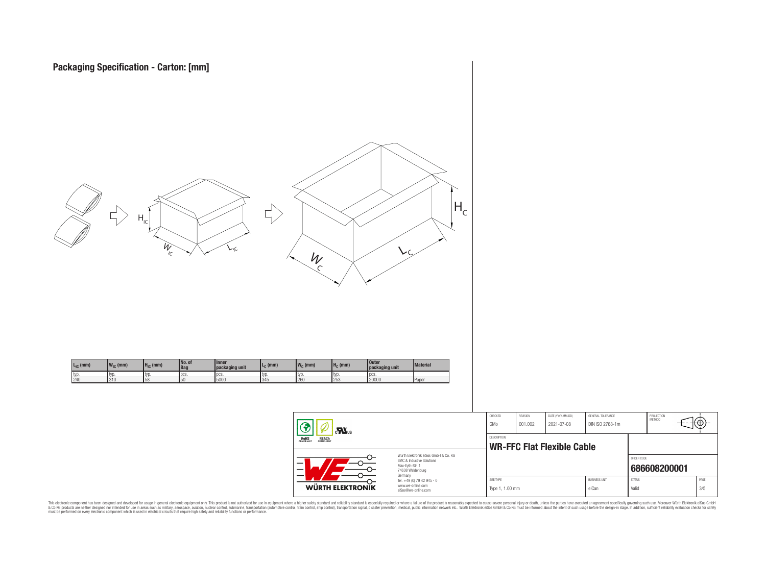



This electronic component has been designed and developed for usage in general electronic equipment only. This product is not authorized for subserved requipment where a higher selection equipment where a higher selection

**WÜRTH ELEKTRONIK** 

www.we-online.com eiSos@we-online.com PROJECTION<br>METHOD

łΘ

**[686608200001](https://www.we-online.com/catalog/en/article/686608200001)**

ORDER CODE

SIZE/TYPE BUSINESS UNIT STATUS PAGE Type 1, 1.00 mm eiCan value of the Valid 3/5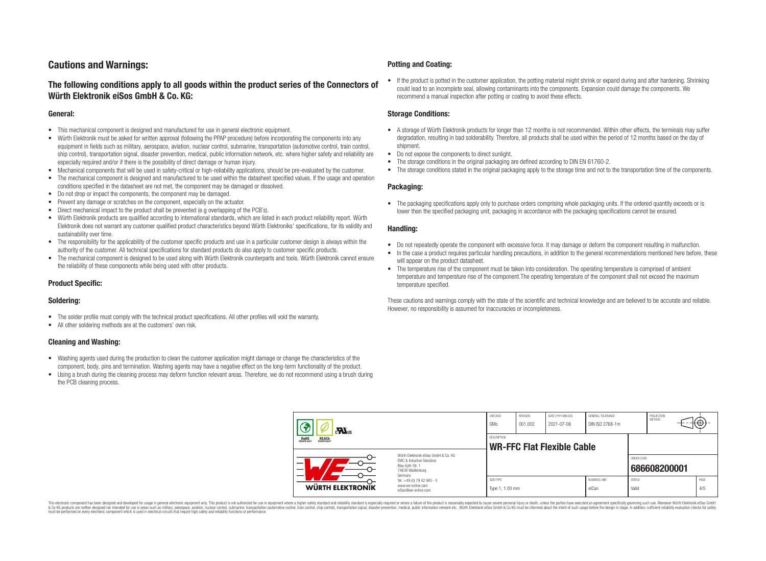# **Cautions and Warnings:**

## **The following conditions apply to all goods within the product series of the Connectors of Würth Elektronik eiSos GmbH & Co. KG:**

#### **General:**

- This mechanical component is designed and manufactured for use in general electronic equipment.
- Würth Elektronik must be asked for written approval (following the PPAP procedure) before incorporating the components into any equipment in fields such as military, aerospace, aviation, nuclear control, submarine, transportation (automotive control, train control, ship control), transportation signal, disaster prevention, medical, public information network, etc. where higher safety and reliability are especially required and/or if there is the possibility of direct damage or human injury.
- Mechanical components that will be used in safety-critical or high-reliability applications, should be pre-evaluated by the customer.
- The mechanical component is designed and manufactured to be used within the datasheet specified values. If the usage and operation conditions specified in the datasheet are not met, the component may be damaged or dissolved.
- Do not drop or impact the components, the component may be damaged.
- Prevent any damage or scratches on the component, especially on the actuator.
- Direct mechanical impact to the product shall be prevented (e.g overlapping of the PCB's).
- Würth Elektronik products are qualified according to international standards, which are listed in each product reliability report. Würth Elektronik does not warrant any customer qualified product characteristics beyond Würth Elektroniks' specifications, for its validity and sustainability over time.
- The responsibility for the applicability of the customer specific products and use in a particular customer design is always within the authority of the customer. All technical specifications for standard products do also apply to customer specific products.
- The mechanical component is designed to be used along with Würth Elektronik counterparts and tools. Würth Elektronik cannot ensure the reliability of these components while being used with other products.

## **Product Specific:**

### **Soldering:**

- The solder profile must comply with the technical product specifications. All other profiles will void the warranty.
- All other soldering methods are at the customers' own risk.

### **Cleaning and Washing:**

- Washing agents used during the production to clean the customer application might damage or change the characteristics of the component, body, pins and termination. Washing agents may have a negative effect on the long-term functionality of the product.
- Using a brush during the cleaning process may deform function relevant areas. Therefore, we do not recommend using a brush during the PCB cleaning process.

#### **Potting and Coating:**

• If the product is potted in the customer application, the potting material might shrink or expand during and after hardening. Shrinking could lead to an incomplete seal, allowing contaminants into the components. Expansion could damage the components. We recommend a manual inspection after potting or coating to avoid these effects.

#### **Storage Conditions:**

- A storage of Würth Elektronik products for longer than 12 months is not recommended. Within other effects, the terminals may suffer degradation, resulting in bad solderability. Therefore, all products shall be used within the period of 12 months based on the day of shipment.
- Do not expose the components to direct sunlight.
- The storage conditions in the original packaging are defined according to DIN EN 61760-2.
- The storage conditions stated in the original packaging apply to the storage time and not to the transportation time of the components.

### **Packaging:**

• The packaging specifications apply only to purchase orders comprising whole packaging units. If the ordered quantity exceeds or is lower than the specified packaging unit, packaging in accordance with the packaging specifications cannot be ensured.

#### **Handling:**

- Do not repeatedly operate the component with excessive force. It may damage or deform the component resulting in malfunction.
- In the case a product requires particular handling precautions, in addition to the general recommendations mentioned here before, these will appear on the product datasheet
- The temperature rise of the component must be taken into consideration. The operating temperature is comprised of ambient temperature and temperature rise of the component.The operating temperature of the component shall not exceed the maximum temperature specified.

These cautions and warnings comply with the state of the scientific and technical knowledge and are believed to be accurate and reliable. However, no responsibility is assumed for inaccuracies or incompleteness.

| $\sum_{s}$                                            |                                                                                                                     | CHECKED<br>GMo               | REVISION<br>001.002 | DATE (YYYY-MM-DD)<br>2021-07-08   | GENERAL TOLERANCE<br>DIN ISO 2768-1m |                        | PROJECTION<br>METHOD | ι₩          |
|-------------------------------------------------------|---------------------------------------------------------------------------------------------------------------------|------------------------------|---------------------|-----------------------------------|--------------------------------------|------------------------|----------------------|-------------|
| <b>ROHS</b><br>COMPLIANT<br><b>REACH</b><br>COMPLIANT |                                                                                                                     | DESCRIPTION                  |                     | <b>WR-FFC Flat Flexible Cable</b> |                                      |                        |                      |             |
| -<br>—                                                | Würth Elektronik eiSos GmbH & Co. KG<br>EMC & Inductive Solutions<br>Max-Eyth-Str. 1<br>74638 Waldenburg<br>Germany |                              |                     |                                   |                                      | ORDER CODE             | 686608200001         |             |
| WÜRTH ELEKTRONIK                                      | Tel. +49 (0) 79 42 945 - 0<br>www.we-online.com<br>eiSos@we-online.com                                              | SIZE/TYPE<br>Type 1, 1.00 mm |                     |                                   | <b>BUSINESS UNIT</b><br>eiCan        | <b>STATUS</b><br>Valid |                      | PAGE<br>4/5 |

This electronic component has been designed and developed for usage in general electronic equipment only. This product is not authorized for use in equipment where a higher safety standard and reliability standard si espec & Ook product a label and the membed of the seasuch as marked and as which such a membed and the such assume that income in the seasuch and the simulation and the such assume that include to the such a membed and the such